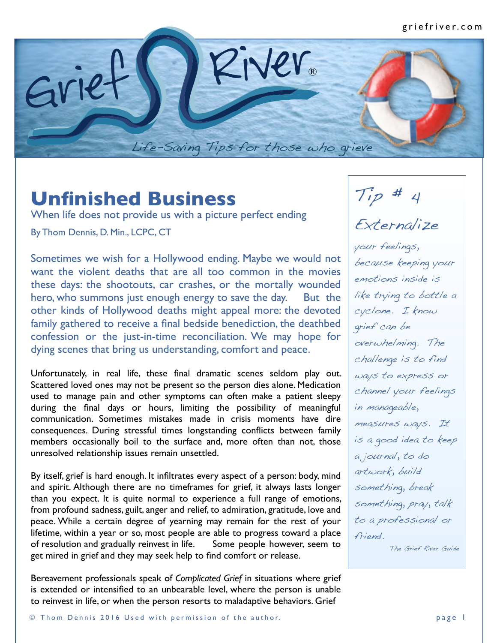

## **Unfinished Business**

When life does not provide us with a picture perfect ending By Thom Dennis, D. Min., LCPC, CT

Sometimes we wish for a Hollywood ending. Maybe we would not want the violent deaths that are all too common in the movies these days: the shootouts, car crashes, or the mortally wounded hero, who summons just enough energy to save the day. But the other kinds of Hollywood deaths might appeal more: the devoted family gathered to receive a final bedside benediction, the deathbed confession or the just-in-time reconciliation. We may hope for dying scenes that bring us understanding, comfort and peace.

Unfortunately, in real life, these final dramatic scenes seldom play out. Scattered loved ones may not be present so the person dies alone. Medication used to manage pain and other symptoms can often make a patient sleepy during the final days or hours, limiting the possibility of meaningful communication. Sometimes mistakes made in crisis moments have dire consequences. During stressful times longstanding conflicts between family members occasionally boil to the surface and, more often than not, those unresolved relationship issues remain unsettled.

By itself, grief is hard enough. It infiltrates every aspect of a person: body, mind and spirit. Although there are no timeframes for grief, it always lasts longer than you expect. It is quite normal to experience a full range of emotions, from profound sadness, guilt, anger and relief, to admiration, gratitude, love and peace. While a certain degree of yearning may remain for the rest of your lifetime, within a year or so, most people are able to progress toward a place of resolution and gradually reinvest in life. Some people however, seem to get mired in grief and they may seek help to find comfort or release.

Bereavement professionals speak of *Complicated Grief* in situations where grief is extended or intensified to an unbearable level, where the person is unable to reinvest in life, or when the person resorts to maladaptive behaviors. Grief

 $Tip$  # 4

## Externalize

your feelings, because keeping your emotions inside is like trying to bottle a cyclone. I know grief can be overwhelming. The challenge is to find ways to express or channel your feelings in manageable, measures ways. It is a good idea to keep a journal, to do artwork, build something, break something, pray, talk to a professional or friend.

The Grief River Guide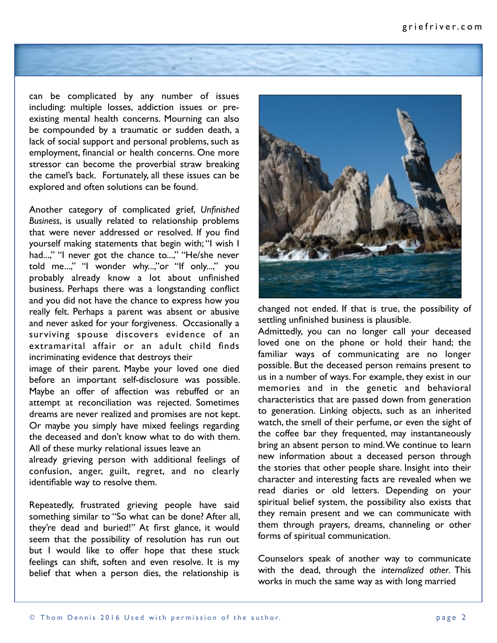

can be complicated by any number of issues including: multiple losses, addiction issues or preexisting mental health concerns. Mourning can also be compounded by a traumatic or sudden death, a lack of social support and personal problems, such as employment, financial or health concerns. One more stressor can become the proverbial straw breaking the camel's back. Fortunately, all these issues can be explored and often solutions can be found.

Another category of complicated grief, *Unfinished Business*, is usually related to relationship problems that were never addressed or resolved. If you find yourself making statements that begin with; "I wish I had...," "I never got the chance to...," "He/she never told me...," "I wonder why...,"or "If only...," you probably already know a lot about unfinished business. Perhaps there was a longstanding conflict and you did not have the chance to express how you really felt. Perhaps a parent was absent or abusive and never asked for your forgiveness. Occasionally a surviving spouse discovers evidence of an extramarital affair or an adult child finds incriminating evidence that destroys their

image of their parent. Maybe your loved one died before an important self-disclosure was possible. Maybe an offer of affection was rebuffed or an attempt at reconciliation was rejected. Sometimes dreams are never realized and promises are not kept. Or maybe you simply have mixed feelings regarding the deceased and don't know what to do with them. All of these murky relational issues leave an

already grieving person with additional feelings of confusion, anger, guilt, regret, and no clearly identifiable way to resolve them.

Repeatedly, frustrated grieving people have said something similar to "So what can be done? After all, they're dead and buried!" At first glance, it would seem that the possibility of resolution has run out but I would like to offer hope that these stuck feelings can shift, soften and even resolve. It is my belief that when a person dies, the relationship is



changed not ended. If that is true, the possibility of settling unfinished business is plausible.

Admittedly, you can no longer call your deceased loved one on the phone or hold their hand; the familiar ways of communicating are no longer possible. But the deceased person remains present to us in a number of ways. For example, they exist in our memories and in the genetic and behavioral characteristics that are passed down from generation to generation. Linking objects, such as an inherited watch, the smell of their perfume, or even the sight of the coffee bar they frequented, may instantaneously bring an absent person to mind. We continue to learn new information about a deceased person through the stories that other people share. Insight into their character and interesting facts are revealed when we read diaries or old letters. Depending on your spiritual belief system, the possibility also exists that they remain present and we can communicate with them through prayers, dreams, channeling or other forms of spiritual communication.

Counselors speak of another way to communicate with the dead, through the *internalized other*. This works in much the same way as with long married